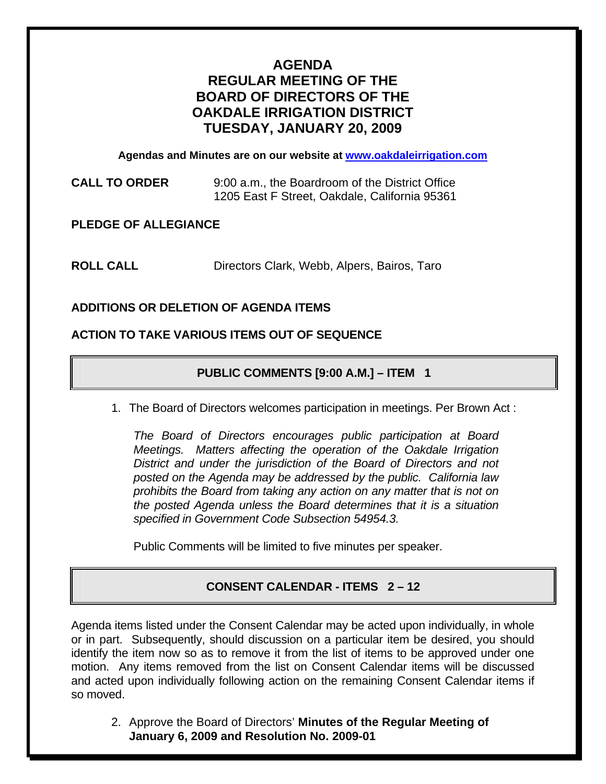# **AGENDA REGULAR MEETING OF THE BOARD OF DIRECTORS OF THE OAKDALE IRRIGATION DISTRICT TUESDAY, JANUARY 20, 2009**

**Agendas and Minutes are on our website at [www.oakdaleirrigation.com](http://www.oakdaleirrigation.com/)**

**CALL TO ORDER** 9:00 a.m., the Boardroom of the District Office 1205 East F Street, Oakdale, California 95361

**PLEDGE OF ALLEGIANCE** 

**ROLL CALL** Directors Clark, Webb, Alpers, Bairos, Taro

# **ADDITIONS OR DELETION OF AGENDA ITEMS**

#### **ACTION TO TAKE VARIOUS ITEMS OUT OF SEQUENCE**

# **PUBLIC COMMENTS [9:00 A.M.] – ITEM 1**

1. The Board of Directors welcomes participation in meetings. Per Brown Act :

*The Board of Directors encourages public participation at Board Meetings. Matters affecting the operation of the Oakdale Irrigation District and under the jurisdiction of the Board of Directors and not posted on the Agenda may be addressed by the public. California law prohibits the Board from taking any action on any matter that is not on the posted Agenda unless the Board determines that it is a situation specified in Government Code Subsection 54954.3.*

Public Comments will be limited to five minutes per speaker.

# **CONSENT CALENDAR - ITEMS 2 – 12**

Agenda items listed under the Consent Calendar may be acted upon individually, in whole or in part. Subsequently, should discussion on a particular item be desired, you should identify the item now so as to remove it from the list of items to be approved under one motion. Any items removed from the list on Consent Calendar items will be discussed and acted upon individually following action on the remaining Consent Calendar items if so moved.

2. Approve the Board of Directors' **Minutes of the Regular Meeting of January 6, 2009 and Resolution No. 2009-01**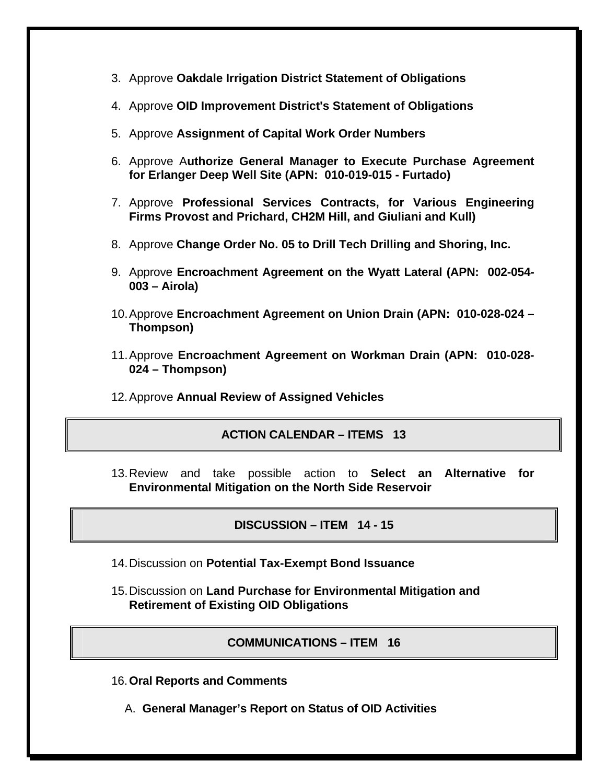- 3. Approve **Oakdale Irrigation District Statement of Obligations**
- 4. Approve **OID Improvement District's Statement of Obligations**
- 5. Approve **Assignment of Capital Work Order Numbers**
- 6. Approve A**uthorize General Manager to Execute Purchase Agreement for Erlanger Deep Well Site (APN: 010-019-015 - Furtado)**
- 7. Approve **Professional Services Contracts, for Various Engineering Firms Provost and Prichard, CH2M Hill, and Giuliani and Kull)**
- 8. Approve **Change Order No. 05 to Drill Tech Drilling and Shoring, Inc.**
- 9. Approve **Encroachment Agreement on the Wyatt Lateral (APN: 002-054- 003 – Airola)**
- 10. Approve **Encroachment Agreement on Union Drain (APN: 010-028-024 Thompson)**
- 11. Approve **Encroachment Agreement on Workman Drain (APN: 010-028- 024 – Thompson)**
- 12. Approve **Annual Review of Assigned Vehicles**

#### **ACTION CALENDAR – ITEMS 13**

13. Review and take possible action to **Select an Alternative for Environmental Mitigation on the North Side Reservoir**

**DISCUSSION – ITEM 14 - 15**

- 14. Discussion on **Potential Tax-Exempt Bond Issuance**
- 15. Discussion on **Land Purchase for Environmental Mitigation and Retirement of Existing OID Obligations**

**COMMUNICATIONS – ITEM 16**

- 16.**Oral Reports and Comments**
	- A. **General Manager's Report on Status of OID Activities**